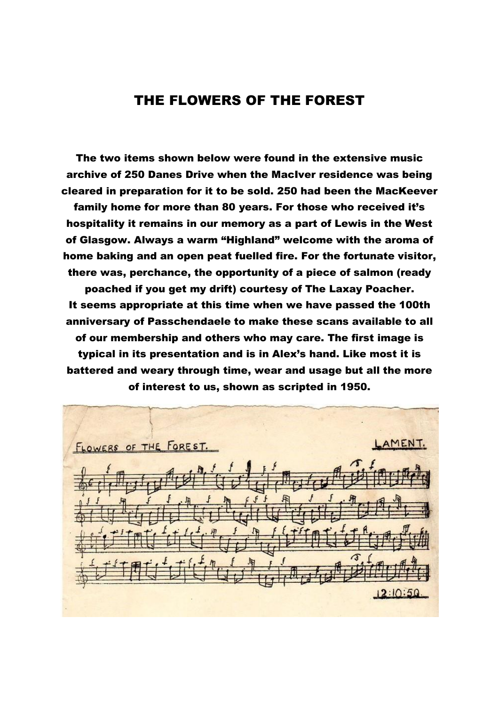## THE FLOWERS OF THE FOREST

The two items shown below were found in the extensive music archive of 250 Danes Drive when the MacIver residence was being cleared in preparation for it to be sold. 250 had been the MacKeever family home for more than 80 years. For those who received it's hospitality it remains in our memory as a part of Lewis in the West of Glasgow. Always a warm "Highland" welcome with the aroma of home baking and an open peat fuelled fire. For the fortunate visitor, there was, perchance, the opportunity of a piece of salmon (ready poached if you get my drift) courtesy of The Laxay Poacher. It seems appropriate at this time when we have passed the 100th anniversary of Passchendaele to make these scans available to all of our membership and others who may care. The first image is typical in its presentation and is in Alex's hand. Like most it is battered and weary through time, wear and usage but all the more of interest to us, shown as scripted in 1950.

LAMENT. FLOWERS OF THE FOREST.  $12:10:50$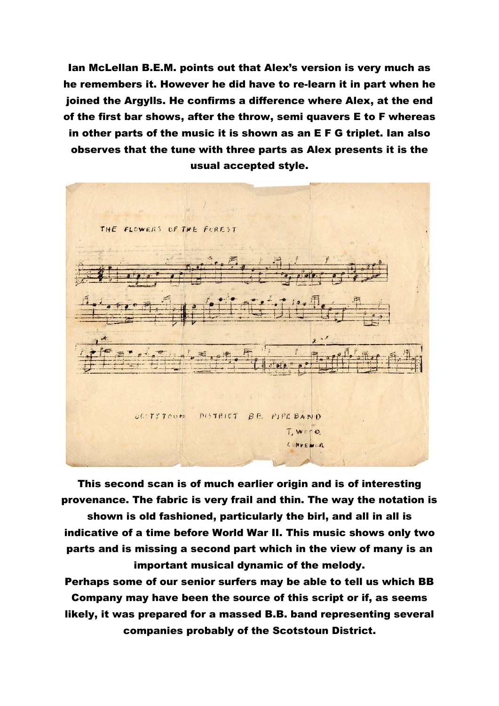Ian McLellan B.E.M. points out that Alex's version is very much as he remembers it. However he did have to re-learn it in part when he joined the Argylls. He confirms a difference where Alex, at the end of the first bar shows, after the throw, semi quavers E to F whereas in other parts of the music it is shown as an E F G triplet. Ian also observes that the tune with three parts as Alex presents it is the usual accepted style.



This second scan is of much earlier origin and is of interesting provenance. The fabric is very frail and thin. The way the notation is

shown is old fashioned, particularly the birl, and all in all is indicative of a time before World War II. This music shows only two parts and is missing a second part which in the view of many is an important musical dynamic of the melody.

Perhaps some of our senior surfers may be able to tell us which BB Company may have been the source of this script or if, as seems likely, it was prepared for a massed B.B. band representing several companies probably of the Scotstoun District.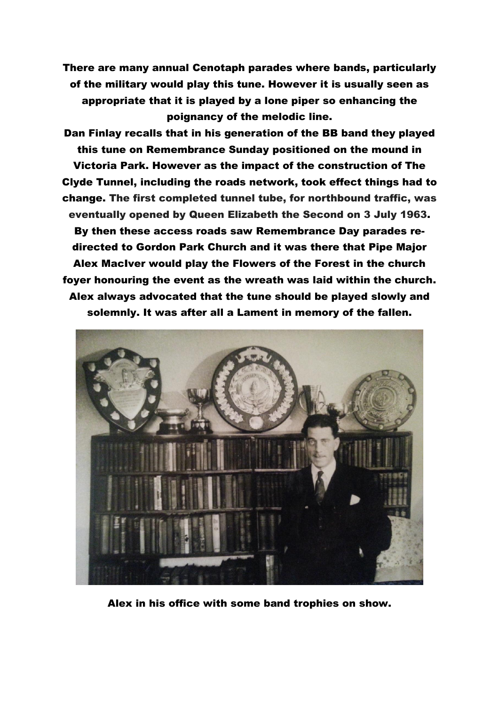There are many annual Cenotaph parades where bands, particularly of the military would play this tune. However it is usually seen as appropriate that it is played by a lone piper so enhancing the poignancy of the melodic line.

Dan Finlay recalls that in his generation of the BB band they played this tune on Remembrance Sunday positioned on the mound in Victoria Park. However as the impact of the construction of The Clyde Tunnel, including the roads network, took effect things had to change. The first completed tunnel tube, for northbound traffic, was eventually opened by Queen Elizabeth the Second on 3 July 1963. By then these access roads saw Remembrance Day parades redirected to Gordon Park Church and it was there that Pipe Major Alex MacIver would play the Flowers of the Forest in the church foyer honouring the event as the wreath was laid within the church. Alex always advocated that the tune should be played slowly and solemnly. It was after all a Lament in memory of the fallen.



Alex in his office with some band trophies on show.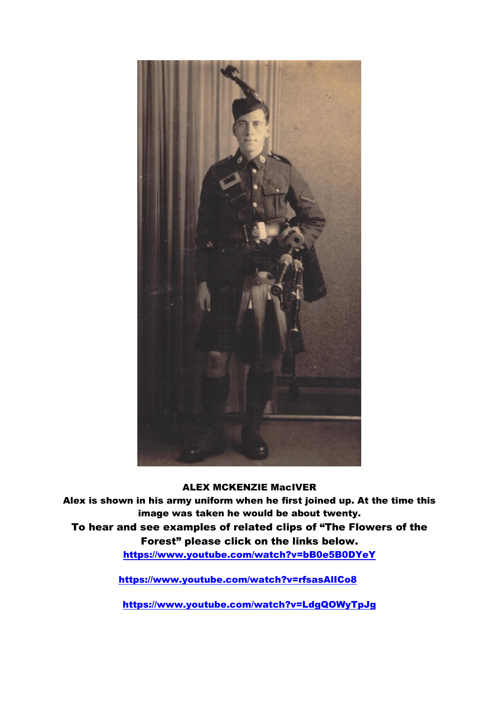

ALEX MCKENZIE MacIVER

Alex is shown in his army uniform when he first joined up. At the time this image was taken he would be about twenty.

To hear and see examples of related clips of "The Flowers of the Forest" please click on the links below.

<https://www.youtube.com/watch?v=bB0e5B0DYeY>

<https://www.youtube.com/watch?v=rfsasAlICo8>

<https://www.youtube.com/watch?v=LdgQOWyTpJg>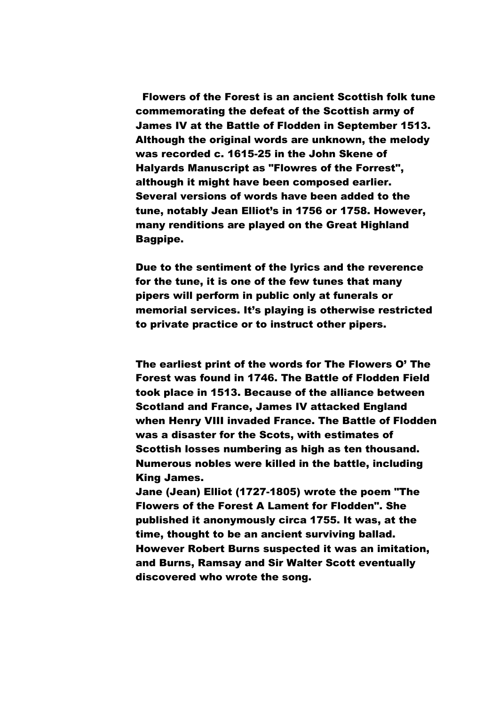Flowers of the Forest is an ancient Scottish folk tune commemorating the defeat of the Scottish army of James IV at the Battle of Flodden in September 1513. Although the original words are unknown, the melody was recorded c. 1615-25 in the John Skene of Halyards Manuscript as "Flowres of the Forrest", although it might have been composed earlier. Several versions of words have been added to the tune, notably Jean Elliot's in 1756 or 1758. However, many renditions are played on the [Great Highland](https://en.wikipedia.org/wiki/Great_Highland_Bagpipe)  [Bagpipe.](https://en.wikipedia.org/wiki/Great_Highland_Bagpipe)

Due to the sentiment of the lyrics and the reverence for the tune, it is one of the few tunes that many pipers will perform in public only at funerals or memorial services. It's playing is otherwise restricted to private practice or to instruct other pipers.

The earliest print of the words for The Flowers O' The Forest was found in 1746. The Battle of Flodden Field took place in 1513. Because of the alliance between Scotland and France, James IV attacked England when Henry VIII invaded France. The Battle of Flodden was a disaster for the Scots, with estimates of Scottish losses numbering as high as ten thousand. Numerous nobles were killed in the battle, including King James.

Jane (Jean) Elliot (1727-1805) wrote the poem "The Flowers of the Forest A Lament for Flodden". She published it anonymously circa 1755. It was, at the time, thought to be an ancient surviving ballad. However Robert Burns suspected it was an imitation, and Burns, Ramsay and Sir Walter Scott eventually discovered who wrote the song.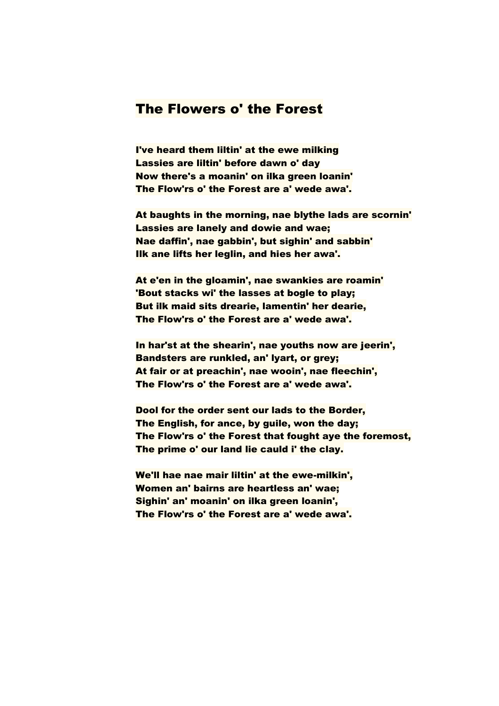## The Flowers o' the Forest

I've heard them liltin' at the ewe milking Lassies are liltin' before dawn o' day Now there's a moanin' on ilka green loanin' The Flow'rs o' the Forest are a' wede awa'.

At baughts in the morning, nae blythe lads are scornin' Lassies are lanely and dowie and wae; Nae daffin', nae gabbin', but sighin' and sabbin' Ilk ane lifts her leglin, and hies her awa'.

At e'en in the gloamin', nae swankies are roamin' 'Bout stacks wi' the lasses at bogle to play; But ilk maid sits drearie, lamentin' her dearie, The Flow'rs o' the Forest are a' wede awa'.

In har'st at the shearin', nae youths now are jeerin', Bandsters are runkled, an' lyart, or grey; At fair or at preachin', nae wooin', nae fleechin', The Flow'rs o' the Forest are a' wede awa'.

Dool for the order sent our lads to the Border, The English, for ance, by guile, won the day; The Flow'rs o' the Forest that fought aye the foremost, The prime o' our land lie cauld i' the clay.

We'll hae nae mair liltin' at the ewe-milkin', Women an' bairns are heartless an' wae; Sighin' an' moanin' on ilka green loanin', The Flow'rs o' the Forest are a' wede awa'.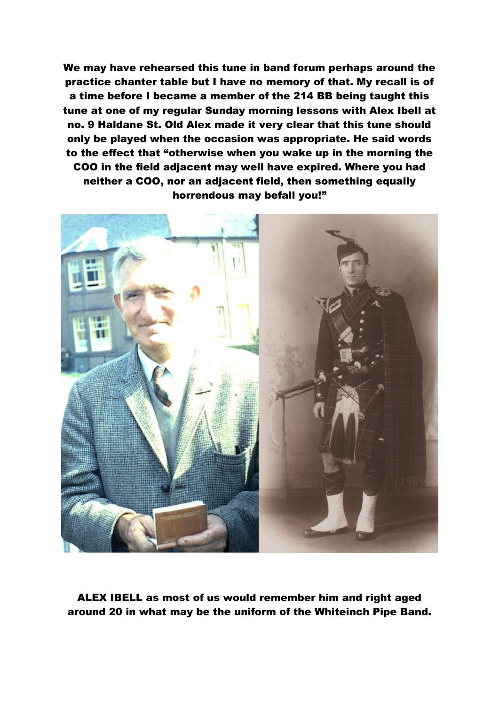We may have rehearsed this tune in band forum perhaps around the practice chanter table but I have no memory of that. My recall is of a time before I became a member of the 214 BB being taught this tune at one of my regular Sunday morning lessons with Alex Ibell at no. 9 Haldane St. Old Alex made it very clear that this tune should only be played when the occasion was appropriate. He said words to the effect that "otherwise when you wake up in the morning the COO in the field adjacent may well have expired. Where you had neither a COO, nor an adjacent field, then something equally horrendous may befall you!"



ALEX IBELL as most of us would remember him and right aged around 20 in what may be the uniform of the Whiteinch Pipe Band.